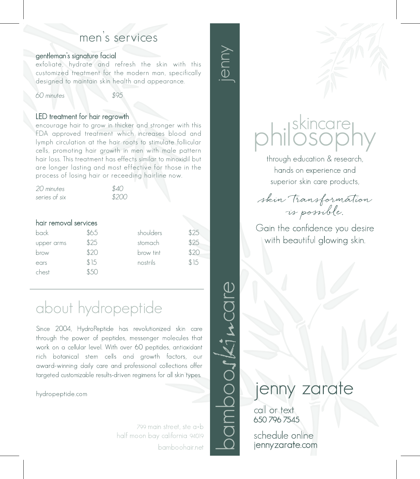## men's services

#### gentleman's signature facial

exfoliate, hydrate and refresh the skin with this customized treatment for the modern man, specifically designed to maintain skin health and appearance.

60 minutes \$95

#### LED treatment for hair regrowth

encourage hair to grow in thicker and stronger with this FDA approved treatment which increases blood and lymph circulation at the hair roots to stimulate follicular cells, promoting hair growth in men with male pattern hair loss. This treatment has effects similar to minoxidil but are longer lasting and most effective for those in the process of losing hair or receeding hairline now.

| 20 minutes    | \$40  |
|---------------|-------|
| series of six | \$200 |

#### hair removal services

| back       | \$65 | shoulders | \$25 |
|------------|------|-----------|------|
| upper arms | \$25 | stomach   | \$25 |
| brow       | \$20 | brow tint | \$20 |
| ears       | \$15 | nostrils  | \$15 |
| chest      | よんし  |           |      |

# about hydropeptide

Since 2004, HydroPeptide has revolutionized skin care through the power of peptides, messenger molecules that work on a cellular level. With over 60 peptides, antioxidant rich botanical stem cells and growth factors, our award-winning daily care and professional collections offer targeted customizable results-driven regimens for all skin types.

hydropeptide.com

799 main street, ste a+b half moon bay california 94019 bamboohair.net



jenny



Gain the confidence you desire with beautiful glowing skin.

skincare<br>IOSOD

through education & research,

# jenny zarate

call or text 650 796 7545

schedule online jennyzarate.com